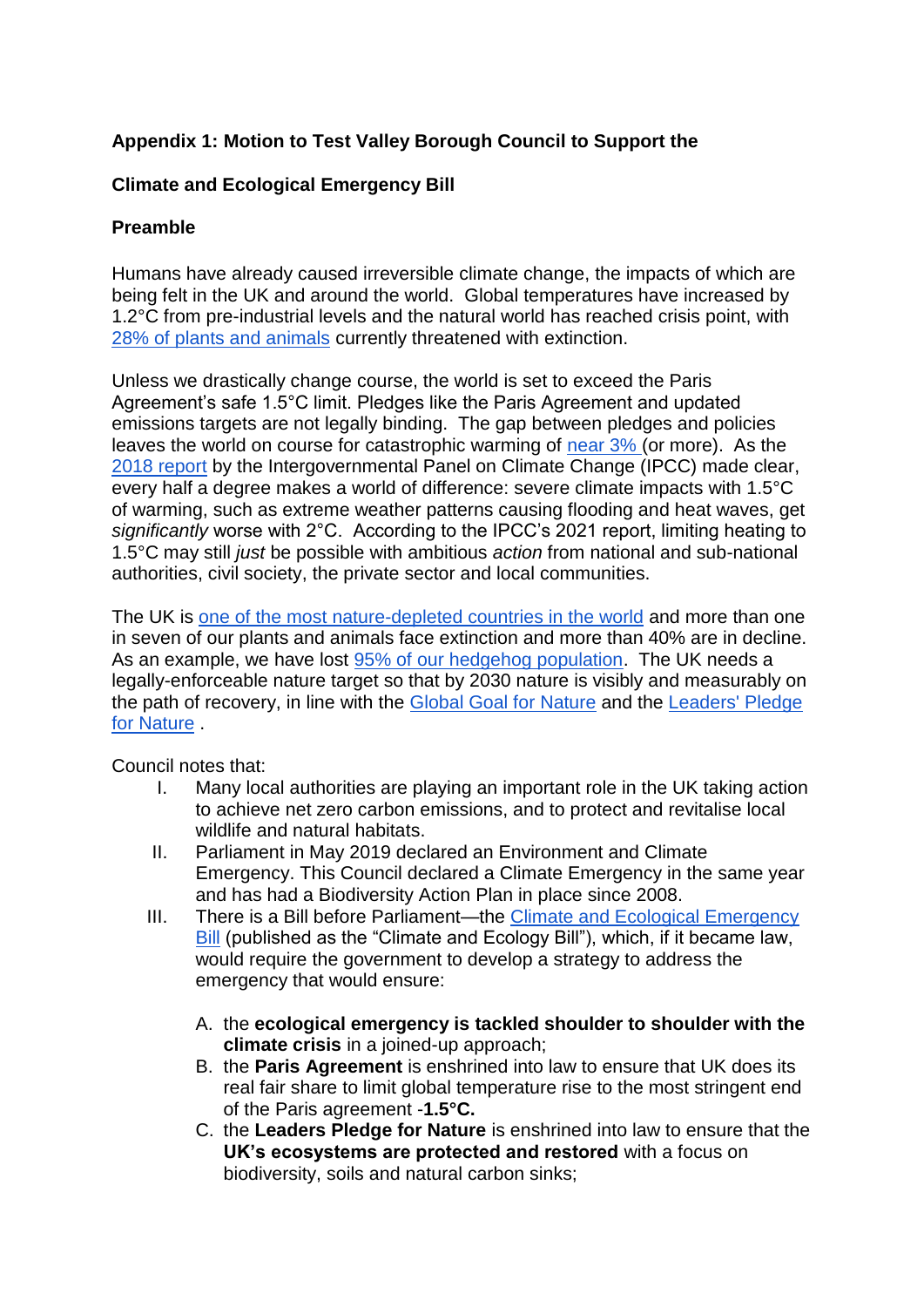## **Appendix 1: Motion to Test Valley Borough Council to Support the**

## **Climate and Ecological Emergency Bill**

## **Preamble**

Humans have already caused irreversible climate change, the impacts of which are being felt in the UK and around the world. Global temperatures have increased by 1.2°C from pre-industrial levels and the natural world has reached crisis point, with [28% of plants and animals](http://www.iucnredlist.org/) currently threatened with extinction.

Unless we drastically change course, the world is set to exceed the Paris Agreement's safe 1.5°C limit. Pledges like the Paris Agreement and updated emissions targets are not legally binding. The gap between pledges and policies leaves the world on course for catastrophic warming of [near 3%](http://www.climateactiontracker.org/global/cat-thermometer/) (or more). As the [2018 report](https://www.ipcc.ch/sr15/) by the Intergovernmental Panel on Climate Change (IPCC) made clear, every half a degree makes a world of difference: severe climate impacts with 1.5°C of warming, such as extreme weather patterns causing flooding and heat waves, get *significantly* worse with 2°C. According to the IPCC's 2021 report, limiting heating to 1.5°C may still *just* be possible with ambitious *action* from national and sub-national authorities, civil society, the private sector and local communities.

The UK is [one of the most nature-depleted countries in the world](http://www.wwf.org.uk/future-of-UK-nature) and more than one in seven of our plants and animals face extinction and more than 40% are in decline. As an example, we have lost [95% of our hedgehog population.](https://www.rspb.org.uk/our-work/state-of-nature-report/) The UK needs a legally-enforceable nature target so that by 2030 nature is visibly and measurably on the path of recovery, in line with the [Global Goal for Nature](https://www.naturepositive.org/) and the [Leaders' Pledge](https://www.leaderspledgefornature.org/)  [for Nature](https://www.leaderspledgefornature.org/) .

Council notes that:

- I. Many local authorities are playing an important role in the UK taking action to achieve net zero carbon emissions, and to protect and revitalise local wildlife and natural habitats.
- II. Parliament in May 2019 declared an Environment and Climate Emergency. This Council declared a Climate Emergency in the same year and has had a Biodiversity Action Plan in place since 2008.
- III. There is a Bill before Parliament—the [Climate and Ecological Emergency](https://www.ceebill.uk/bill)  [Bill](https://www.ceebill.uk/bill) (published as the "Climate and Ecology Bill"), which, if it became law, would require the government to develop a strategy to address the emergency that would ensure:
	- A. the **ecological emergency is tackled shoulder to shoulder with the climate crisis** in a joined-up approach;
	- B. the **Paris Agreement** is enshrined into law to ensure that UK does its real fair share to limit global temperature rise to the most stringent end of the Paris agreement -**1.5°C.**
	- C. the **Leaders Pledge for Nature** is enshrined into law to ensure that the **UK's ecosystems are protected and restored** with a focus on biodiversity, soils and natural carbon sinks;